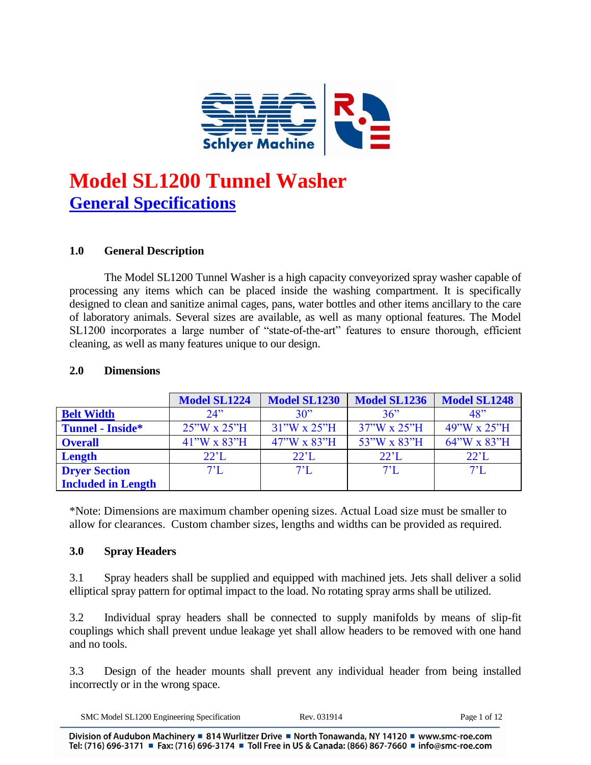

# **Model SL1200 Tunnel Washer General Specifications**

# **1.0 General Description**

The Model SL1200 Tunnel Washer is a high capacity conveyorized spray washer capable of processing any items which can be placed inside the washing compartment. It is specifically designed to clean and sanitize animal cages, pans, water bottles and other items ancillary to the care of laboratory animals. Several sizes are available, as well as many optional features. The Model SL1200 incorporates a large number of "state-of-the-art" features to ensure thorough, efficient cleaning, as well as many features unique to our design.

|                           | <b>Model SL1224</b>             | <b>Model SL1230</b>              | <b>Model SL1236</b>             | <b>Model SL1248</b>  |
|---------------------------|---------------------------------|----------------------------------|---------------------------------|----------------------|
| <b>Belt Width</b>         | 24                              | 30"                              | 36"                             | 48"                  |
| <b>Tunnel - Inside*</b>   | $25^{\circ}$ W x $25^{\circ}$ H | $31''W \times 25''H$             | $37^{\circ}$ W x $25^{\circ}$ H | $49''W \times 25''H$ |
| <b>Overall</b>            | $41''W \times 83''H$            | $47^{\circ}$ W x 83 $^{\circ}$ H | 53"W x 83"H                     | 64"W x 83"H          |
| Length                    | $22^{\circ}$ L                  | $22^{\circ}$ L                   | $22^{\circ}$ L                  | $22^{\circ}$ L       |
| <b>Dryer Section</b>      | $7^{\circ}$ L                   | $7^{\circ}$ L                    | $7^{\circ}$ L                   | $7^{\circ}$ L        |
| <b>Included in Length</b> |                                 |                                  |                                 |                      |

#### **2.0 Dimensions**

\*Note: Dimensions are maximum chamber opening sizes. Actual Load size must be smaller to allow for clearances. Custom chamber sizes, lengths and widths can be provided as required.

#### **3.0 Spray Headers**

3.1 Spray headers shall be supplied and equipped with machined jets. Jets shall deliver a solid elliptical spray pattern for optimal impact to the load. No rotating spray arms shall be utilized.

3.2 Individual spray headers shall be connected to supply manifolds by means of slip-fit couplings which shall prevent undue leakage yet shall allow headers to be removed with one hand and no tools.

3.3 Design of the header mounts shall prevent any individual header from being installed incorrectly or in the wrong space.

| 20O<br>SMC<br>. cngmeer's<br>cation<br>Model<br>ne<br>ոոշ | $\sim$ | ΩŤ<br>ാനല |
|-----------------------------------------------------------|--------|-----------|
|-----------------------------------------------------------|--------|-----------|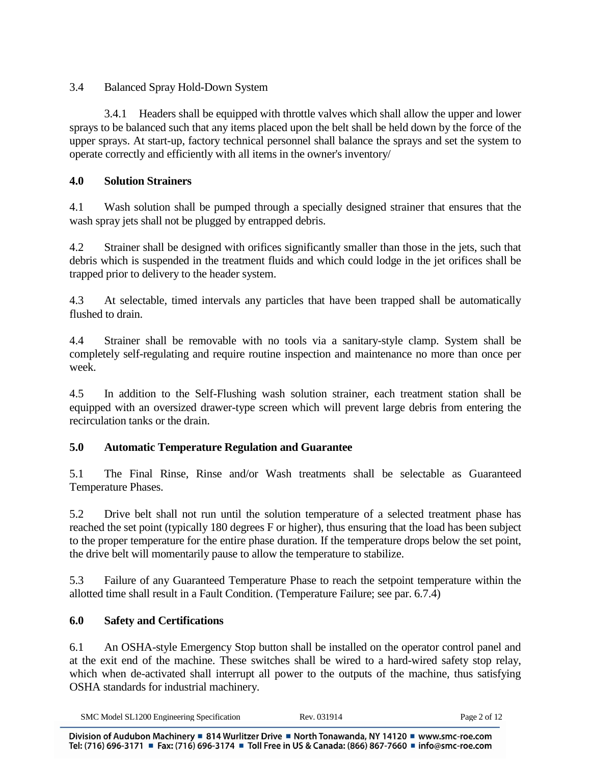3.4 Balanced Spray Hold-Down System

3.4.1 Headers shall be equipped with throttle valves which shall allow the upper and lower sprays to be balanced such that any items placed upon the belt shall be held down by the force of the upper sprays. At start-up, factory technical personnel shall balance the sprays and set the system to operate correctly and efficiently with all items in the owner's inventory/

# **4.0 Solution Strainers**

4.1 Wash solution shall be pumped through a specially designed strainer that ensures that the wash spray jets shall not be plugged by entrapped debris.

4.2 Strainer shall be designed with orifices significantly smaller than those in the jets, such that debris which is suspended in the treatment fluids and which could lodge in the jet orifices shall be trapped prior to delivery to the header system.

4.3 At selectable, timed intervals any particles that have been trapped shall be automatically flushed to drain.

4.4 Strainer shall be removable with no tools via a sanitary-style clamp. System shall be completely self-regulating and require routine inspection and maintenance no more than once per week.

4.5 In addition to the Self-Flushing wash solution strainer, each treatment station shall be equipped with an oversized drawer-type screen which will prevent large debris from entering the recirculation tanks or the drain.

# **5.0 Automatic Temperature Regulation and Guarantee**

5.1 The Final Rinse, Rinse and/or Wash treatments shall be selectable as Guaranteed Temperature Phases.

5.2 Drive belt shall not run until the solution temperature of a selected treatment phase has reached the set point (typically 180 degrees F or higher), thus ensuring that the load has been subject to the proper temperature for the entire phase duration. If the temperature drops below the set point, the drive belt will momentarily pause to allow the temperature to stabilize.

5.3 Failure of any Guaranteed Temperature Phase to reach the setpoint temperature within the allotted time shall result in a Fault Condition. (Temperature Failure; see par. 6.7.4)

# **6.0 Safety and Certifications**

6.1 An OSHA-style Emergency Stop button shall be installed on the operator control panel and at the exit end of the machine. These switches shall be wired to a hard-wired safety stop relay, which when de-activated shall interrupt all power to the outputs of the machine, thus satisfying OSHA standards for industrial machinery.

| SMC Model SL1200 Engineering Specification | Rev | $P_{\rm ADE}$<br>∶ot |
|--------------------------------------------|-----|----------------------|
|--------------------------------------------|-----|----------------------|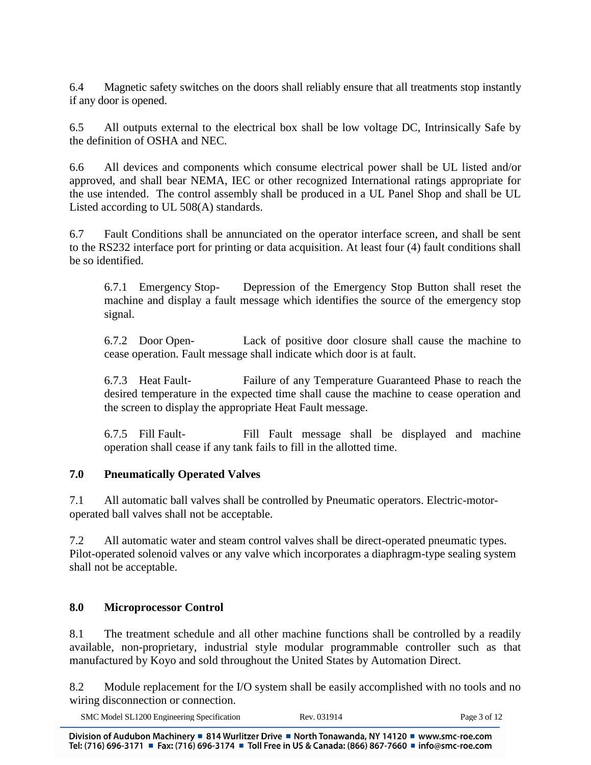6.4 Magnetic safety switches on the doors shall reliably ensure that all treatments stop instantly if any door is opened.

6.5 All outputs external to the electrical box shall be low voltage DC, Intrinsically Safe by the definition of OSHA and NEC.

6.6 All devices and components which consume electrical power shall be UL listed and/or approved, and shall bear NEMA, IEC or other recognized International ratings appropriate for the use intended. The control assembly shall be produced in a UL Panel Shop and shall be UL Listed according to UL 508(A) standards.

6.7 Fault Conditions shall be annunciated on the operator interface screen, and shall be sent to the RS232 interface port for printing or data acquisition. At least four (4) fault conditions shall be so identified.

6.7.1 Emergency Stop- Depression of the Emergency Stop Button shall reset the machine and display a fault message which identifies the source of the emergency stop signal.

6.7.2 Door Open- Lack of positive door closure shall cause the machine to cease operation. Fault message shall indicate which door is at fault.

6.7.3 Heat Fault- Failure of any Temperature Guaranteed Phase to reach the desired temperature in the expected time shall cause the machine to cease operation and the screen to display the appropriate Heat Fault message.

6.7.5 Fill Fault- Fill Fault message shall be displayed and machine operation shall cease if any tank fails to fill in the allotted time.

# **7.0 Pneumatically Operated Valves**

7.1 All automatic ball valves shall be controlled by Pneumatic operators. Electric-motoroperated ball valves shall not be acceptable.

7.2 All automatic water and steam control valves shall be direct-operated pneumatic types. Pilot-operated solenoid valves or any valve which incorporates a diaphragm-type sealing system shall not be acceptable.

# **8.0 Microprocessor Control**

8.1 The treatment schedule and all other machine functions shall be controlled by a readily available, non-proprietary, industrial style modular programmable controller such as that manufactured by Koyo and sold throughout the United States by Automation Direct.

8.2 Module replacement for the I/O system shall be easily accomplished with no tools and no wiring disconnection or connection.

| SMC Model SL1200 Engineering Specification | Rev. 031914 | Page 3 of 12 |
|--------------------------------------------|-------------|--------------|
|--------------------------------------------|-------------|--------------|

Division of Audubon Machinery = 814 Wurlitzer Drive = North Tonawanda, NY 14120 = www.smc-roe.com Tel: (716) 696-3171 ■ Fax: (716) 696-3174 ■ Toll Free in US & Canada: (866) 867-7660 ■ info@smc-roe.com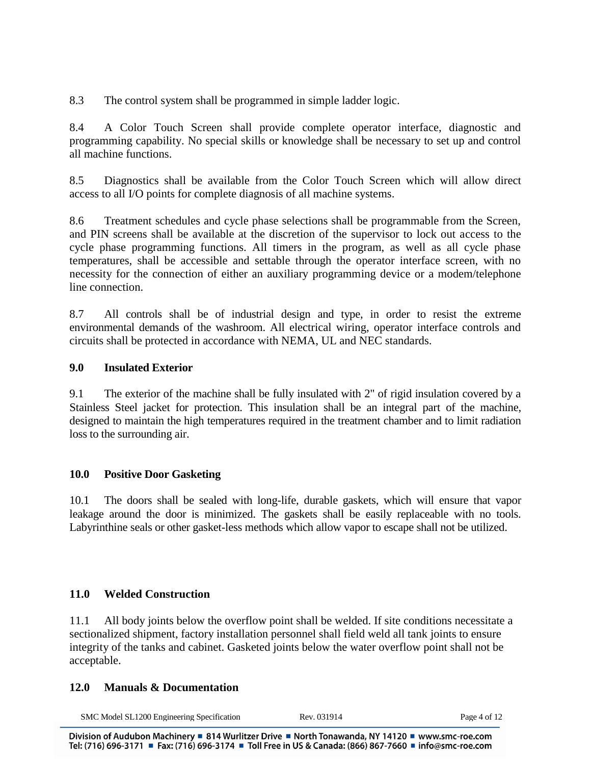8.3 The control system shall be programmed in simple ladder logic.

8.4 A Color Touch Screen shall provide complete operator interface, diagnostic and programming capability. No special skills or knowledge shall be necessary to set up and control all machine functions.

8.5 Diagnostics shall be available from the Color Touch Screen which will allow direct access to all I/O points for complete diagnosis of all machine systems.

8.6 Treatment schedules and cycle phase selections shall be programmable from the Screen, and PIN screens shall be available at the discretion of the supervisor to lock out access to the cycle phase programming functions. All timers in the program, as well as all cycle phase temperatures, shall be accessible and settable through the operator interface screen, with no necessity for the connection of either an auxiliary programming device or a modem/telephone line connection.

8.7 All controls shall be of industrial design and type, in order to resist the extreme environmental demands of the washroom. All electrical wiring, operator interface controls and circuits shall be protected in accordance with NEMA, UL and NEC standards.

#### **9.0 Insulated Exterior**

9.1 The exterior of the machine shall be fully insulated with 2" of rigid insulation covered by a Stainless Steel jacket for protection. This insulation shall be an integral part of the machine, designed to maintain the high temperatures required in the treatment chamber and to limit radiation loss to the surrounding air.

# **10.0 Positive Door Gasketing**

10.1 The doors shall be sealed with long-life, durable gaskets, which will ensure that vapor leakage around the door is minimized. The gaskets shall be easily replaceable with no tools. Labyrinthine seals or other gasket-less methods which allow vapor to escape shall not be utilized.

#### **11.0 Welded Construction**

11.1 All body joints below the overflow point shall be welded. If site conditions necessitate a sectionalized shipment, factory installation personnel shall field weld all tank joints to ensure integrity of the tanks and cabinet. Gasketed joints below the water overflow point shall not be acceptable.

#### **12.0 Manuals & Documentation**

| SMC Model SL1200 Engineering Specification | Rev. 031914 | Page 4 of 1 |
|--------------------------------------------|-------------|-------------|
|--------------------------------------------|-------------|-------------|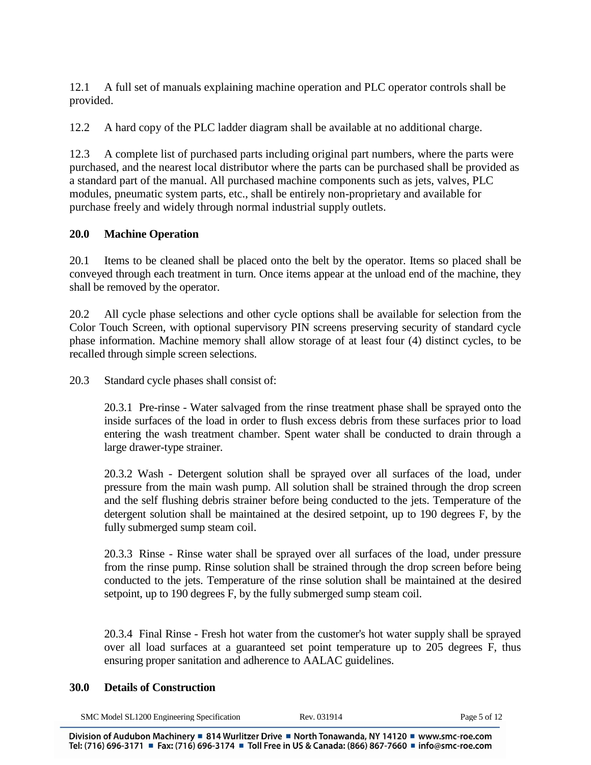12.1 A full set of manuals explaining machine operation and PLC operator controls shall be provided.

12.2 A hard copy of the PLC ladder diagram shall be available at no additional charge.

12.3 A complete list of purchased parts including original part numbers, where the parts were purchased, and the nearest local distributor where the parts can be purchased shall be provided as a standard part of the manual. All purchased machine components such as jets, valves, PLC modules, pneumatic system parts, etc., shall be entirely non-proprietary and available for purchase freely and widely through normal industrial supply outlets.

# **20.0 Machine Operation**

20.1 Items to be cleaned shall be placed onto the belt by the operator. Items so placed shall be conveyed through each treatment in turn. Once items appear at the unload end of the machine, they shall be removed by the operator.

20.2 All cycle phase selections and other cycle options shall be available for selection from the Color Touch Screen, with optional supervisory PIN screens preserving security of standard cycle phase information. Machine memory shall allow storage of at least four (4) distinct cycles, to be recalled through simple screen selections.

20.3 Standard cycle phases shall consist of:

20.3.1 Pre-rinse - Water salvaged from the rinse treatment phase shall be sprayed onto the inside surfaces of the load in order to flush excess debris from these surfaces prior to load entering the wash treatment chamber. Spent water shall be conducted to drain through a large drawer-type strainer.

20.3.2 Wash - Detergent solution shall be sprayed over all surfaces of the load, under pressure from the main wash pump. All solution shall be strained through the drop screen and the self flushing debris strainer before being conducted to the jets. Temperature of the detergent solution shall be maintained at the desired setpoint, up to 190 degrees F, by the fully submerged sump steam coil.

20.3.3 Rinse - Rinse water shall be sprayed over all surfaces of the load, under pressure from the rinse pump. Rinse solution shall be strained through the drop screen before being conducted to the jets. Temperature of the rinse solution shall be maintained at the desired setpoint, up to 190 degrees F, by the fully submerged sump steam coil.

20.3.4 Final Rinse - Fresh hot water from the customer's hot water supply shall be sprayed over all load surfaces at a guaranteed set point temperature up to 205 degrees F, thus ensuring proper sanitation and adherence to AALAC guidelines.

#### **30.0 Details of Construction**

| SMC Model SL1200 Engineering Specification | Rev | Page 5 of 1 |
|--------------------------------------------|-----|-------------|
|                                            |     |             |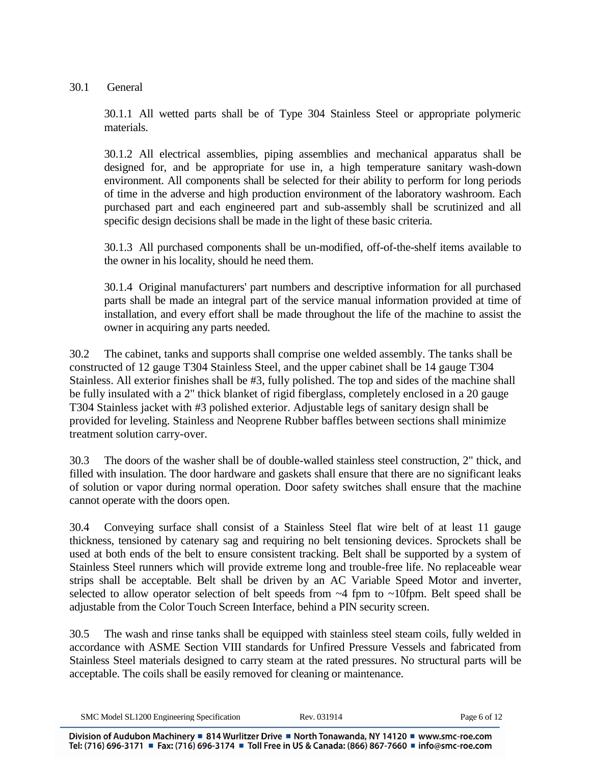30.1 General

30.1.1 All wetted parts shall be of Type 304 Stainless Steel or appropriate polymeric materials.

30.1.2 All electrical assemblies, piping assemblies and mechanical apparatus shall be designed for, and be appropriate for use in, a high temperature sanitary wash-down environment. All components shall be selected for their ability to perform for long periods of time in the adverse and high production environment of the laboratory washroom. Each purchased part and each engineered part and sub-assembly shall be scrutinized and all specific design decisions shall be made in the light of these basic criteria.

30.1.3 All purchased components shall be un-modified, off-of-the-shelf items available to the owner in his locality, should he need them.

30.1.4 Original manufacturers' part numbers and descriptive information for all purchased parts shall be made an integral part of the service manual information provided at time of installation, and every effort shall be made throughout the life of the machine to assist the owner in acquiring any parts needed.

30.2 The cabinet, tanks and supports shall comprise one welded assembly. The tanks shall be constructed of 12 gauge T304 Stainless Steel, and the upper cabinet shall be 14 gauge T304 Stainless. All exterior finishes shall be #3, fully polished. The top and sides of the machine shall be fully insulated with a 2" thick blanket of rigid fiberglass, completely enclosed in a 20 gauge T304 Stainless jacket with #3 polished exterior. Adjustable legs of sanitary design shall be provided for leveling. Stainless and Neoprene Rubber baffles between sections shall minimize treatment solution carry-over.

30.3 The doors of the washer shall be of double-walled stainless steel construction, 2" thick, and filled with insulation. The door hardware and gaskets shall ensure that there are no significant leaks of solution or vapor during normal operation. Door safety switches shall ensure that the machine cannot operate with the doors open.

30.4 Conveying surface shall consist of a Stainless Steel flat wire belt of at least 11 gauge thickness, tensioned by catenary sag and requiring no belt tensioning devices. Sprockets shall be used at both ends of the belt to ensure consistent tracking. Belt shall be supported by a system of Stainless Steel runners which will provide extreme long and trouble-free life. No replaceable wear strips shall be acceptable. Belt shall be driven by an AC Variable Speed Motor and inverter, selected to allow operator selection of belt speeds from  $\sim$ 4 fpm to  $\sim$ 10fpm. Belt speed shall be adjustable from the Color Touch Screen Interface, behind a PIN security screen.

30.5 The wash and rinse tanks shall be equipped with stainless steel steam coils, fully welded in accordance with ASME Section VIII standards for Unfired Pressure Vessels and fabricated from Stainless Steel materials designed to carry steam at the rated pressures. No structural parts will be acceptable. The coils shall be easily removed for cleaning or maintenance.

| SMC Model SL1200 Engineering Specification | Rev. 031914 | Page 6 of 12 |
|--------------------------------------------|-------------|--------------|
|--------------------------------------------|-------------|--------------|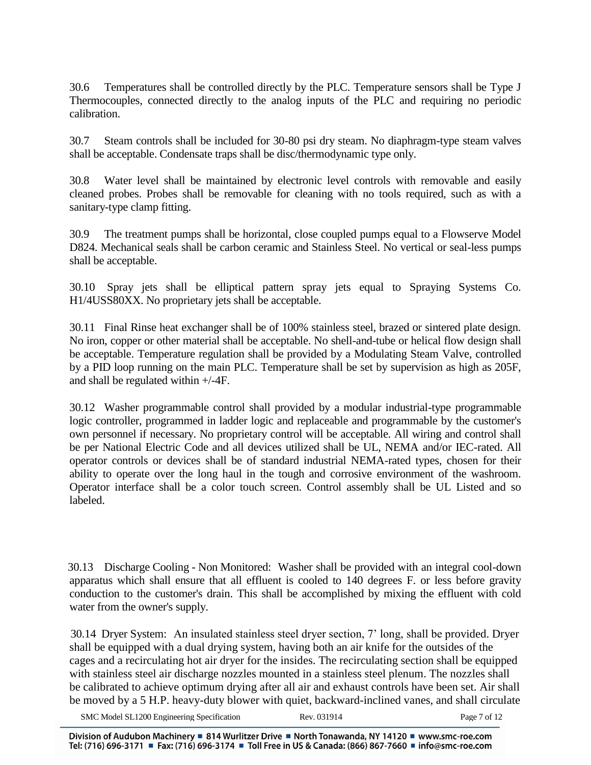30.6 Temperatures shall be controlled directly by the PLC. Temperature sensors shall be Type J Thermocouples, connected directly to the analog inputs of the PLC and requiring no periodic calibration.

30.7 Steam controls shall be included for 30-80 psi dry steam. No diaphragm-type steam valves shall be acceptable. Condensate traps shall be disc/thermodynamic type only.

30.8 Water level shall be maintained by electronic level controls with removable and easily cleaned probes. Probes shall be removable for cleaning with no tools required, such as with a sanitary-type clamp fitting.

30.9 The treatment pumps shall be horizontal, close coupled pumps equal to a Flowserve Model D824. Mechanical seals shall be carbon ceramic and Stainless Steel. No vertical or seal-less pumps shall be acceptable.

30.10 Spray jets shall be elliptical pattern spray jets equal to Spraying Systems Co. H1/4USS80XX. No proprietary jets shall be acceptable.

30.11 Final Rinse heat exchanger shall be of 100% stainless steel, brazed or sintered plate design. No iron, copper or other material shall be acceptable. No shell-and-tube or helical flow design shall be acceptable. Temperature regulation shall be provided by a Modulating Steam Valve, controlled by a PID loop running on the main PLC. Temperature shall be set by supervision as high as 205F, and shall be regulated within +/-4F.

30.12 Washer programmable control shall provided by a modular industrial-type programmable logic controller, programmed in ladder logic and replaceable and programmable by the customer's own personnel if necessary. No proprietary control will be acceptable. All wiring and control shall be per National Electric Code and all devices utilized shall be UL, NEMA and/or IEC-rated. All operator controls or devices shall be of standard industrial NEMA-rated types, chosen for their ability to operate over the long haul in the tough and corrosive environment of the washroom. Operator interface shall be a color touch screen. Control assembly shall be UL Listed and so labeled.

 30.13 Discharge Cooling - Non Monitored: Washer shall be provided with an integral cool-down apparatus which shall ensure that all effluent is cooled to 140 degrees F. or less before gravity conduction to the customer's drain. This shall be accomplished by mixing the effluent with cold water from the owner's supply.

 30.14 Dryer System: An insulated stainless steel dryer section, 7' long, shall be provided. Dryer shall be equipped with a dual drying system, having both an air knife for the outsides of the cages and a recirculating hot air dryer for the insides. The recirculating section shall be equipped with stainless steel air discharge nozzles mounted in a stainless steel plenum. The nozzles shall be calibrated to achieve optimum drying after all air and exhaust controls have been set. Air shall be moved by a 5 H.P. heavy-duty blower with quiet, backward-inclined vanes, and shall circulate

SMC Model SL1200 Engineering Specification Rev. 031914 Page 7 of 12

Division of Audubon Machinery ■ 814 Wurlitzer Drive ■ North Tonawanda, NY 14120 ■ www.smc-roe.com Tel: (716) 696-3171 ■ Fax: (716) 696-3174 ■ Toll Free in US & Canada: (866) 867-7660 ■ info@smc-roe.com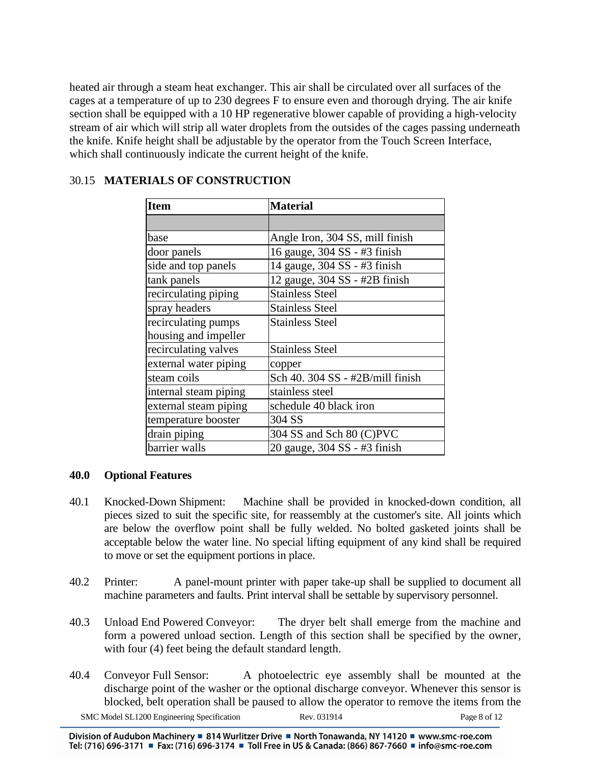heated air through a steam heat exchanger. This air shall be circulated over all surfaces of the cages at a temperature of up to 230 degrees F to ensure even and thorough drying. The air knife section shall be equipped with a 10 HP regenerative blower capable of providing a high-velocity stream of air which will strip all water droplets from the outsides of the cages passing underneath the knife. Knife height shall be adjustable by the operator from the Touch Screen Interface, which shall continuously indicate the current height of the knife.

| 30.15 MATERIALS OF CONSTRUCTION |  |
|---------------------------------|--|
|---------------------------------|--|

| <b>Item</b>           | <b>Material</b>                  |  |
|-----------------------|----------------------------------|--|
|                       |                                  |  |
| base                  | Angle Iron, 304 SS, mill finish  |  |
| door panels           | 16 gauge, 304 SS - #3 finish     |  |
| side and top panels   | 14 gauge, 304 SS - #3 finish     |  |
| tank panels           | 12 gauge, 304 SS - #2B finish    |  |
| recirculating piping  | <b>Stainless Steel</b>           |  |
| spray headers         | <b>Stainless Steel</b>           |  |
| recirculating pumps   | <b>Stainless Steel</b>           |  |
| housing and impeller  |                                  |  |
| recirculating valves  | <b>Stainless Steel</b>           |  |
| external water piping | copper                           |  |
| steam coils           | Sch 40. 304 SS - #2B/mill finish |  |
| internal steam piping | stainless steel                  |  |
| external steam piping | schedule 40 black iron           |  |
| temperature booster   | 304 SS                           |  |
| drain piping          | 304 SS and Sch 80 (C)PVC         |  |
| barrier walls         | 20 gauge, 304 SS - #3 finish     |  |

# **40.0 Optional Features**

- 40.1 Knocked-Down Shipment: Machine shall be provided in knocked-down condition, all pieces sized to suit the specific site, for reassembly at the customer's site. All joints which are below the overflow point shall be fully welded. No bolted gasketed joints shall be acceptable below the water line. No special lifting equipment of any kind shall be required to move or set the equipment portions in place.
- 40.2 Printer: A panel-mount printer with paper take-up shall be supplied to document all machine parameters and faults. Print interval shall be settable by supervisory personnel.
- 40.3 Unload End Powered Conveyor: The dryer belt shall emerge from the machine and form a powered unload section. Length of this section shall be specified by the owner, with four (4) feet being the default standard length.
- SMC Model SL1200 Engineering Specification Rev. 031914 Page 8 of 12 40.4 Conveyor Full Sensor: A photoelectric eye assembly shall be mounted at the discharge point of the washer or the optional discharge conveyor. Whenever this sensor is blocked, belt operation shall be paused to allow the operator to remove the items from the

Division of Audubon Machinery ■ 814 Wurlitzer Drive ■ North Tonawanda, NY 14120 ■ www.smc-roe.com Tel: (716) 696-3171 ■ Fax: (716) 696-3174 ■ Toll Free in US & Canada: (866) 867-7660 ■ info@smc-roe.com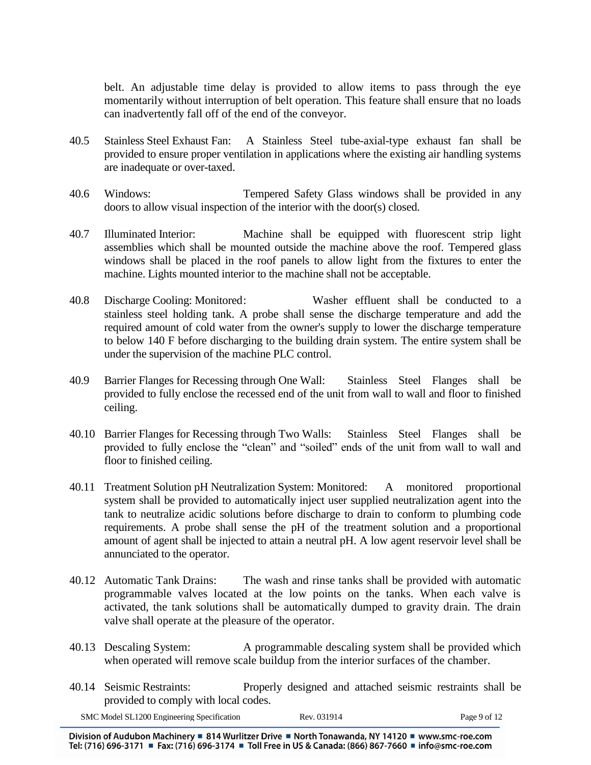belt. An adjustable time delay is provided to allow items to pass through the eye momentarily without interruption of belt operation. This feature shall ensure that no loads can inadvertently fall off of the end of the conveyor.

- 40.5 Stainless Steel Exhaust Fan: A Stainless Steel tube-axial-type exhaust fan shall be provided to ensure proper ventilation in applications where the existing air handling systems are inadequate or over-taxed.
- 40.6 Windows: Tempered Safety Glass windows shall be provided in any doors to allow visual inspection of the interior with the door(s) closed.
- 40.7 Illuminated Interior: Machine shall be equipped with fluorescent strip light assemblies which shall be mounted outside the machine above the roof. Tempered glass windows shall be placed in the roof panels to allow light from the fixtures to enter the machine. Lights mounted interior to the machine shall not be acceptable.
- 40.8 Discharge Cooling: Monitored: Washer effluent shall be conducted to a stainless steel holding tank. A probe shall sense the discharge temperature and add the required amount of cold water from the owner's supply to lower the discharge temperature to below 140 F before discharging to the building drain system. The entire system shall be under the supervision of the machine PLC control.
- 40.9 Barrier Flanges for Recessing through One Wall: Stainless Steel Flanges shall be provided to fully enclose the recessed end of the unit from wall to wall and floor to finished ceiling.
- 40.10 Barrier Flanges for Recessing through Two Walls: Stainless Steel Flanges shall be provided to fully enclose the "clean" and "soiled" ends of the unit from wall to wall and floor to finished ceiling.
- 40.11 Treatment Solution pH Neutralization System: Monitored: A monitored proportional system shall be provided to automatically inject user supplied neutralization agent into the tank to neutralize acidic solutions before discharge to drain to conform to plumbing code requirements. A probe shall sense the pH of the treatment solution and a proportional amount of agent shall be injected to attain a neutral pH. A low agent reservoir level shall be annunciated to the operator.
- 40.12 Automatic Tank Drains: The wash and rinse tanks shall be provided with automatic programmable valves located at the low points on the tanks. When each valve is activated, the tank solutions shall be automatically dumped to gravity drain. The drain valve shall operate at the pleasure of the operator.
- 40.13 Descaling System: A programmable descaling system shall be provided which when operated will remove scale buildup from the interior surfaces of the chamber.
- 40.14 Seismic Restraints: Properly designed and attached seismic restraints shall be provided to comply with local codes.

| SMC Model SL1200 Engineering Specification | Rev. 031914 | Page 9 of 12 |
|--------------------------------------------|-------------|--------------|
|                                            |             |              |

Division of Audubon Machinery ■ 814 Wurlitzer Drive ■ North Tonawanda, NY 14120 ■ www.smc-roe.com Tel: (716) 696-3171 ■ Fax: (716) 696-3174 ■ Toll Free in US & Canada: (866) 867-7660 ■ info@smc-roe.com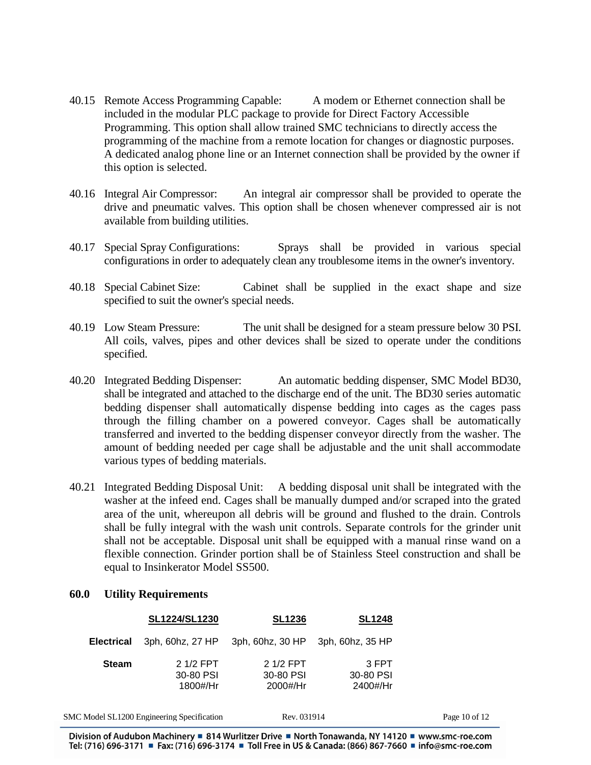- 40.15 Remote Access Programming Capable: A modem or Ethernet connection shall be included in the modular PLC package to provide for Direct Factory Accessible Programming. This option shall allow trained SMC technicians to directly access the programming of the machine from a remote location for changes or diagnostic purposes. A dedicated analog phone line or an Internet connection shall be provided by the owner if this option is selected.
- 40.16 Integral Air Compressor: An integral air compressor shall be provided to operate the drive and pneumatic valves. This option shall be chosen whenever compressed air is not available from building utilities.
- 40.17 Special Spray Configurations: Sprays shall be provided in various special configurations in order to adequately clean any troublesome items in the owner's inventory.
- 40.18 Special Cabinet Size: Cabinet shall be supplied in the exact shape and size specified to suit the owner's special needs.
- 40.19 Low Steam Pressure: The unit shall be designed for a steam pressure below 30 PSI. All coils, valves, pipes and other devices shall be sized to operate under the conditions specified.
- 40.20 Integrated Bedding Dispenser: An automatic bedding dispenser, SMC Model BD30, shall be integrated and attached to the discharge end of the unit. The BD30 series automatic bedding dispenser shall automatically dispense bedding into cages as the cages pass through the filling chamber on a powered conveyor. Cages shall be automatically transferred and inverted to the bedding dispenser conveyor directly from the washer. The amount of bedding needed per cage shall be adjustable and the unit shall accommodate various types of bedding materials.
- 40.21 Integrated Bedding Disposal Unit: A bedding disposal unit shall be integrated with the washer at the infeed end. Cages shall be manually dumped and/or scraped into the grated area of the unit, whereupon all debris will be ground and flushed to the drain. Controls shall be fully integral with the wash unit controls. Separate controls for the grinder unit shall not be acceptable. Disposal unit shall be equipped with a manual rinse wand on a flexible connection. Grinder portion shall be of Stainless Steel construction and shall be equal to Insinkerator Model SS500.

#### **60.0 Utility Requirements**

|                   | SL1224/SL1230                              | <b>SL1236</b>                       | <b>SL1248</b>                  |                   |
|-------------------|--------------------------------------------|-------------------------------------|--------------------------------|-------------------|
| <b>Electrical</b> |                                            | 3ph, 60hz, 27 HP 3ph, 60hz, 30 HP   | 3ph, 60hz, 35 HP               |                   |
| <b>Steam</b>      | 2 1/2 FPT<br>30-80 PSI<br>1800#/Hr         | $21/2$ FPT<br>30-80 PSI<br>2000#/Hr | 3 FPT<br>30-80 PSI<br>2400#/Hr |                   |
|                   | SMC Model SL1200 Engineering Specification | Rev. 031914                         |                                | Page $10$ of $12$ |

Division of Audubon Machinery = 814 Wurlitzer Drive = North Tonawanda, NY 14120 = www.smc-roe.com Tel: (716) 696-3171 ■ Fax: (716) 696-3174 ■ Toll Free in US & Canada: (866) 867-7660 ■ info@smc-roe.com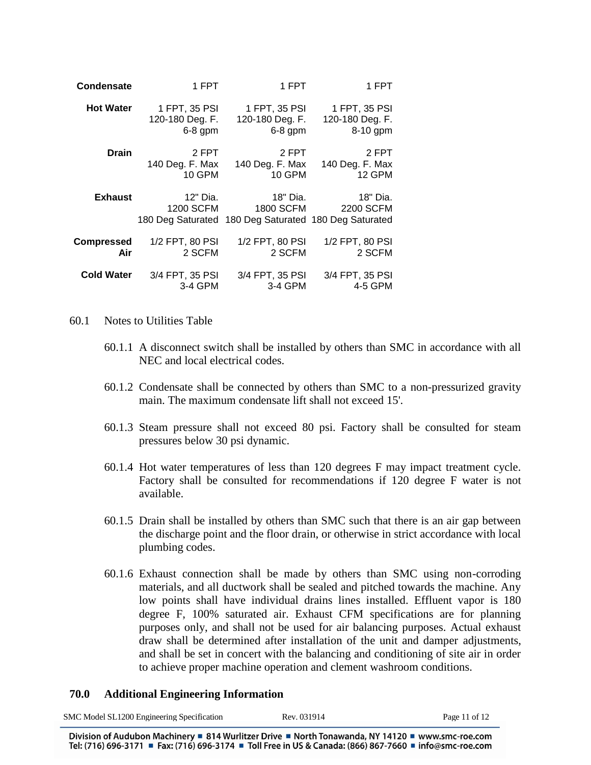| Condensate        | 1 FPT                 | 1 FPT                                                                          | 1 FPT                 |
|-------------------|-----------------------|--------------------------------------------------------------------------------|-----------------------|
| <b>Hot Water</b>  | 1 FPT, 35 PSI         | 1 FPT, 35 PSI                                                                  | 1 FPT, 35 PSI         |
|                   | 120-180 Deg. F.       | 120-180 Deg. F.                                                                | 120-180 Deg. F.       |
|                   | $6-8$ gpm             | $6-8$ gpm                                                                      | 8-10 gpm              |
| <b>Drain</b>      | 2 FPT                 | 2 FPT                                                                          | 2 FPT                 |
|                   | 140 Deg. F. Max       | 140 Deg. F. Max                                                                | 140 Deg. F. Max       |
|                   | 10 GPM                | <b>10 GPM</b>                                                                  | 12 GPM                |
| <b>Exhaust</b>    | 12" Dia.<br>1200 SCFM | 18" Dia.<br>1800 SCFM<br>180 Deg Saturated 180 Deg Saturated 180 Deg Saturated | 18" Dia.<br>2200 SCFM |
| Compressed        | 1/2 FPT, 80 PSI       | 1/2 FPT, 80 PSI                                                                | 1/2 FPT, 80 PSI       |
| Air               | 2 SCFM                | 2 SCFM                                                                         | 2 SCFM                |
| <b>Cold Water</b> | 3/4 FPT, 35 PSI       | 3/4 FPT, 35 PSI                                                                | 3/4 FPT, 35 PSI       |
|                   | 3-4 GPM               | 3-4 GPM                                                                        | 4-5 GPM               |

#### 60.1 Notes to Utilities Table

- 60.1.1 A disconnect switch shall be installed by others than SMC in accordance with all NEC and local electrical codes.
- 60.1.2 Condensate shall be connected by others than SMC to a non-pressurized gravity main. The maximum condensate lift shall not exceed 15'.
- 60.1.3 Steam pressure shall not exceed 80 psi. Factory shall be consulted for steam pressures below 30 psi dynamic.
- 60.1.4 Hot water temperatures of less than 120 degrees F may impact treatment cycle. Factory shall be consulted for recommendations if 120 degree F water is not available.
- 60.1.5 Drain shall be installed by others than SMC such that there is an air gap between the discharge point and the floor drain, or otherwise in strict accordance with local plumbing codes.
- 60.1.6 Exhaust connection shall be made by others than SMC using non-corroding materials, and all ductwork shall be sealed and pitched towards the machine. Any low points shall have individual drains lines installed. Effluent vapor is 180 degree F, 100% saturated air. Exhaust CFM specifications are for planning purposes only, and shall not be used for air balancing purposes. Actual exhaust draw shall be determined after installation of the unit and damper adjustments, and shall be set in concert with the balancing and conditioning of site air in order to achieve proper machine operation and clement washroom conditions.

#### **70.0 Additional Engineering Information**

| SMC Model SL1200 Engineering Specification                                                                                              | Rev. 031914 | Page 11 of 12 |
|-----------------------------------------------------------------------------------------------------------------------------------------|-------------|---------------|
| Division of Audubon Machinery $\blacksquare$ 814 Wurlitzer Drive $\blacksquare$ North Tonawanda NY 14120 $\blacksquare$ www.smc-roe.com |             |               |